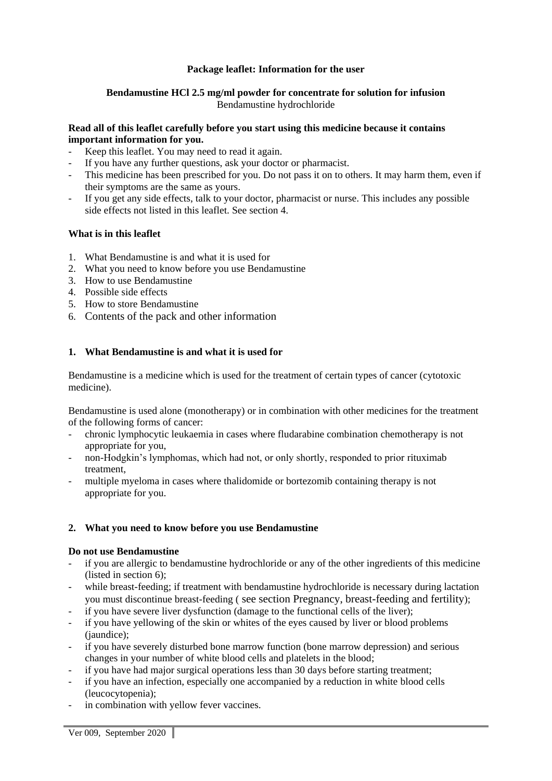# **Package leaflet: Information for the user**

# **Bendamustine HCl 2.5 mg/ml powder for concentrate for solution for infusion** Bendamustine hydrochloride

# **Read all of this leaflet carefully before you start using this medicine because it contains important information for you.**

- Keep this leaflet. You may need to read it again.
- If you have any further questions, ask your doctor or pharmacist.
- This medicine has been prescribed for you. Do not pass it on to others. It may harm them, even if their symptoms are the same as yours.
- If you get any side effects, talk to your doctor, pharmacist or nurse. This includes any possible side effects not listed in this leaflet. See section 4.

# **What is in this leaflet**

- 1. What Bendamustine is and what it is used for
- 2. What you need to know before you use Bendamustine
- 3. How to use Bendamustine
- 4. Possible side effects
- 5. How to store Bendamustine
- 6. Contents of the pack and other information

# **1. What Bendamustine is and what it is used for**

Bendamustine is a medicine which is used for the treatment of certain types of cancer (cytotoxic medicine).

Bendamustine is used alone (monotherapy) or in combination with other medicines for the treatment of the following forms of cancer:

- chronic lymphocytic leukaemia in cases where fludarabine combination chemotherapy is not appropriate for you,
- non-Hodgkin's lymphomas, which had not, or only shortly, responded to prior rituximab treatment,
- multiple myeloma in cases where thalidomide or bortezomib containing therapy is not appropriate for you.

#### **2. What you need to know before you use Bendamustine**

#### **Do not use Bendamustine**

- if you are allergic to bendamustine hydrochloride or any of the other ingredients of this medicine (listed in section 6);
- while breast-feeding; if treatment with bendamustine hydrochloride is necessary during lactation you must discontinue breast-feeding ( see section Pregnancy, breast-feeding and fertility);
- if you have severe liver dysfunction (damage to the functional cells of the liver);
- if you have yellowing of the skin or whites of the eyes caused by liver or blood problems (*jaundice*):
- if you have severely disturbed bone marrow function (bone marrow depression) and serious changes in your number of white blood cells and platelets in the blood;
- if you have had major surgical operations less than 30 days before starting treatment;
- if you have an infection, especially one accompanied by a reduction in white blood cells (leucocytopenia);
- in combination with yellow fever vaccines.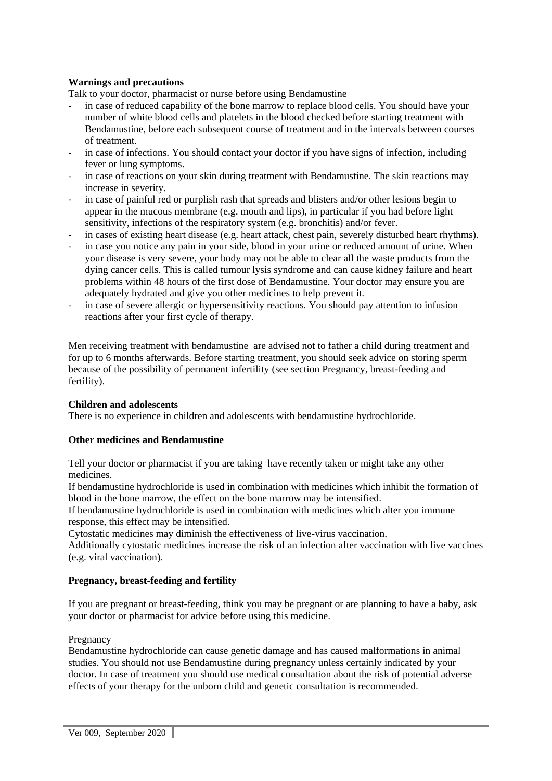# **Warnings and precautions**

Talk to your doctor, pharmacist or nurse before using Bendamustine

- in case of reduced capability of the bone marrow to replace blood cells. You should have your number of white blood cells and platelets in the blood checked before starting treatment with Bendamustine, before each subsequent course of treatment and in the intervals between courses of treatment.
- in case of infections. You should contact your doctor if you have signs of infection, including fever or lung symptoms.
- in case of reactions on your skin during treatment with Bendamustine. The skin reactions may increase in severity.
- in case of painful red or purplish rash that spreads and blisters and/or other lesions begin to appear in the mucous membrane (e.g. mouth and lips), in particular if you had before light sensitivity, infections of the respiratory system (e.g. bronchitis) and/or fever.
- in cases of existing heart disease (e.g. heart attack, chest pain, severely disturbed heart rhythms).
- in case you notice any pain in your side, blood in your urine or reduced amount of urine. When your disease is very severe, your body may not be able to clear all the waste products from the dying cancer cells. This is called tumour lysis syndrome and can cause kidney failure and heart problems within 48 hours of the first dose of Bendamustine. Your doctor may ensure you are adequately hydrated and give you other medicines to help prevent it.
- in case of severe allergic or hypersensitivity reactions. You should pay attention to infusion reactions after your first cycle of therapy.

Men receiving treatment with bendamustine are advised not to father a child during treatment and for up to 6 months afterwards. Before starting treatment, you should seek advice on storing sperm because of the possibility of permanent infertility (see section Pregnancy, breast-feeding and fertility).

#### **Children and adolescents**

There is no experience in children and adolescents with bendamustine hydrochloride.

#### **Other medicines and Bendamustine**

Tell your doctor or pharmacist if you are taking have recently taken or might take any other medicines.

If bendamustine hydrochloride is used in combination with medicines which inhibit the formation of blood in the bone marrow, the effect on the bone marrow may be intensified.

If bendamustine hydrochloride is used in combination with medicines which alter you immune response, this effect may be intensified.

Cytostatic medicines may diminish the effectiveness of live-virus vaccination.

Additionally cytostatic medicines increase the risk of an infection after vaccination with live vaccines (e.g. viral vaccination).

#### **Pregnancy, breast-feeding and fertility**

If you are pregnant or breast-feeding, think you may be pregnant or are planning to have a baby, ask your doctor or pharmacist for advice before using this medicine.

#### Pregnancy

Bendamustine hydrochloride can cause genetic damage and has caused malformations in animal studies. You should not use Bendamustine during pregnancy unless certainly indicated by your doctor. In case of treatment you should use medical consultation about the risk of potential adverse effects of your therapy for the unborn child and genetic consultation is recommended.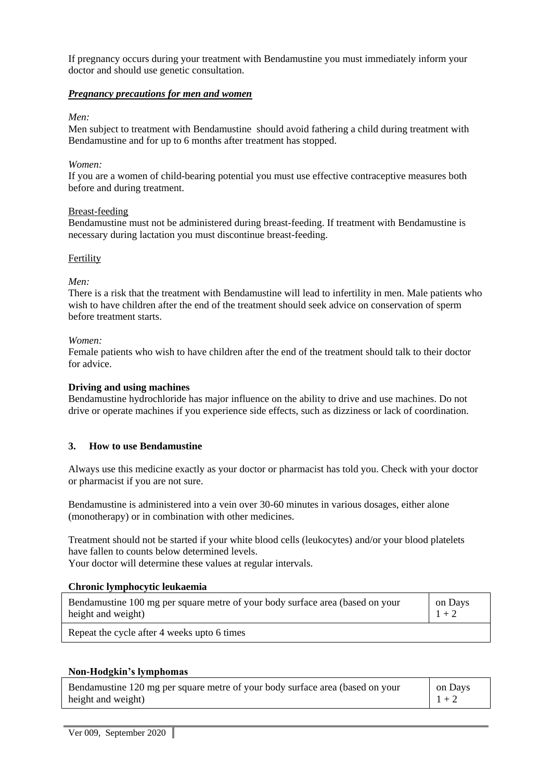If pregnancy occurs during your treatment with Bendamustine you must immediately inform your doctor and should use genetic consultation.

# *Pregnancy precautions for men and women*

#### *Men:*

Men subject to treatment with Bendamustine should avoid fathering a child during treatment with Bendamustine and for up to 6 months after treatment has stopped.

#### *Women:*

If you are a women of child-bearing potential you must use effective contraceptive measures both before and during treatment.

#### Breast-feeding

Bendamustine must not be administered during breast-feeding. If treatment with Bendamustine is necessary during lactation you must discontinue breast-feeding.

#### Fertility

#### *Men:*

There is a risk that the treatment with Bendamustine will lead to infertility in men. Male patients who wish to have children after the end of the treatment should seek advice on conservation of sperm before treatment starts.

#### *Women:*

Female patients who wish to have children after the end of the treatment should talk to their doctor for advice.

#### **Driving and using machines**

Bendamustine hydrochloride has major influence on the ability to drive and use machines. Do not drive or operate machines if you experience side effects, such as dizziness or lack of coordination.

#### **3. How to use Bendamustine**

Always use this medicine exactly as your doctor or pharmacist has told you. Check with your doctor or pharmacist if you are not sure.

Bendamustine is administered into a vein over 30-60 minutes in various dosages, either alone (monotherapy) or in combination with other medicines.

Treatment should not be started if your white blood cells (leukocytes) and/or your blood platelets have fallen to counts below determined levels.

Your doctor will determine these values at regular intervals.

#### **Chronic lymphocytic leukaemia**

| Bendamustine 100 mg per square metre of your body surface area (based on your | on Days |
|-------------------------------------------------------------------------------|---------|
| height and weight)                                                            | $1 + 2$ |
| Repeat the cycle after 4 weeks upto 6 times                                   |         |

**Non-Hodgkin's lymphomas**

| Bendamustine 120 mg per square metre of your body surface area (based on your | on Days |
|-------------------------------------------------------------------------------|---------|
| height and weight)                                                            | $1 + 2$ |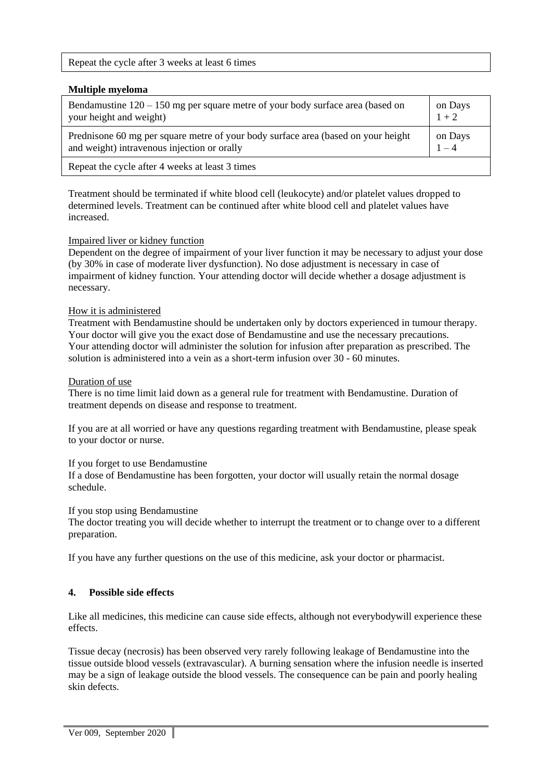Repeat the cycle after 3 weeks at least 6 times

## **Multiple myeloma**

| Bendamustine $120 - 150$ mg per square metre of your body surface area (based on   | on Days |
|------------------------------------------------------------------------------------|---------|
| your height and weight)                                                            | $1 + 2$ |
| Prednisone 60 mg per square metre of your body surface area (based on your height) | on Days |
| and weight) intravenous injection or orally                                        | $1 - 4$ |
| Repeat the cycle after 4 weeks at least 3 times                                    |         |

Treatment should be terminated if white blood cell (leukocyte) and/or platelet values dropped to determined levels. Treatment can be continued after white blood cell and platelet values have increased.

# Impaired liver or kidney function

Dependent on the degree of impairment of your liver function it may be necessary to adjust your dose (by 30% in case of moderate liver dysfunction). No dose adjustment is necessary in case of impairment of kidney function. Your attending doctor will decide whether a dosage adjustment is necessary.

# How it is administered

Treatment with Bendamustine should be undertaken only by doctors experienced in tumour therapy. Your doctor will give you the exact dose of Bendamustine and use the necessary precautions. Your attending doctor will administer the solution for infusion after preparation as prescribed. The solution is administered into a vein as a short-term infusion over 30 - 60 minutes.

#### Duration of use

There is no time limit laid down as a general rule for treatment with Bendamustine. Duration of treatment depends on disease and response to treatment.

If you are at all worried or have any questions regarding treatment with Bendamustine, please speak to your doctor or nurse.

#### If you forget to use Bendamustine

If a dose of Bendamustine has been forgotten, your doctor will usually retain the normal dosage schedule.

#### If you stop using Bendamustine

The doctor treating you will decide whether to interrupt the treatment or to change over to a different preparation.

If you have any further questions on the use of this medicine, ask your doctor or pharmacist.

# **4. Possible side effects**

Like all medicines, this medicine can cause side effects, although not everybodywill experience these effects.

Tissue decay (necrosis) has been observed very rarely following leakage of Bendamustine into the tissue outside blood vessels (extravascular). A burning sensation where the infusion needle is inserted may be a sign of leakage outside the blood vessels. The consequence can be pain and poorly healing skin defects.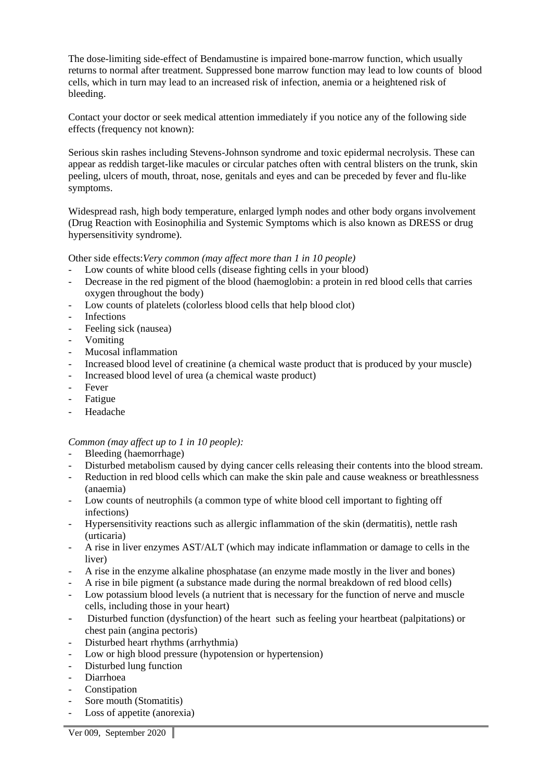The dose-limiting side-effect of Bendamustine is impaired bone-marrow function, which usually returns to normal after treatment. Suppressed bone marrow function may lead to low counts of blood cells, which in turn may lead to an increased risk of infection, anemia or a heightened risk of bleeding.

Contact your doctor or seek medical attention immediately if you notice any of the following side effects (frequency not known):

Serious skin rashes including Stevens-Johnson syndrome and toxic epidermal necrolysis. These can appear as reddish target-like macules or circular patches often with central blisters on the trunk, skin peeling, ulcers of mouth, throat, nose, genitals and eyes and can be preceded by fever and flu-like symptoms.

Widespread rash, high body temperature, enlarged lymph nodes and other body organs involvement (Drug Reaction with Eosinophilia and Systemic Symptoms which is also known as DRESS or drug hypersensitivity syndrome).

Other side effects:*Very common (may affect more than 1 in 10 people)*

- Low counts of white blood cells (disease fighting cells in your blood)
- Decrease in the red pigment of the blood (haemoglobin: a protein in red blood cells that carries oxygen throughout the body)
- Low counts of platelets (colorless blood cells that help blood clot)
- **Infections**
- Feeling sick (nausea)
- Vomiting
- Mucosal inflammation
- Increased blood level of creatinine (a chemical waste product that is produced by your muscle)
- Increased blood level of urea (a chemical waste product)
- Fever
- Fatigue
- **Headache**

*Common (may affect up to 1 in 10 people):*

- Bleeding (haemorrhage)
- Disturbed metabolism caused by dying cancer cells releasing their contents into the blood stream.
- Reduction in red blood cells which can make the skin pale and cause weakness or breathlessness (anaemia)
- Low counts of neutrophils (a common type of white blood cell important to fighting off infections)
- Hypersensitivity reactions such as allergic inflammation of the skin (dermatitis), nettle rash (urticaria)
- A rise in liver enzymes AST/ALT (which may indicate inflammation or damage to cells in the liver)
- A rise in the enzyme alkaline phosphatase (an enzyme made mostly in the liver and bones)
- A rise in bile pigment (a substance made during the normal breakdown of red blood cells)
- Low potassium blood levels (a nutrient that is necessary for the function of nerve and muscle cells, including those in your heart)
- Disturbed function (dysfunction) of the heart such as feeling your heartbeat (palpitations) or chest pain (angina pectoris)
- Disturbed heart rhythms (arrhythmia)
- Low or high blood pressure (hypotension or hypertension)
- Disturbed lung function
- Diarrhoea
- **Constipation**
- Sore mouth (Stomatitis)
- Loss of appetite (anorexia)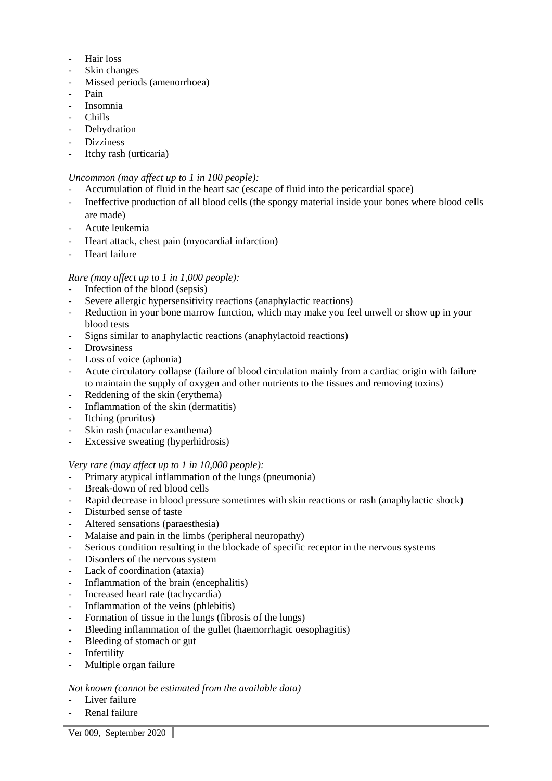- Hair loss
- Skin changes
- Missed periods (amenorrhoea)
- Pain
- Insomnia
- Chills
- Dehydration
- Dizziness
- Itchy rash (urticaria)

## *Uncommon (may affect up to 1 in 100 people):*

- Accumulation of fluid in the heart sac (escape of fluid into the pericardial space)
- Ineffective production of all blood cells (the spongy material inside your bones where blood cells are made)
- Acute leukemia
- Heart attack, chest pain (myocardial infarction)
- Heart failure

# *Rare (may affect up to 1 in 1,000 people):*

- Infection of the blood (sepsis)
- Severe allergic hypersensitivity reactions (anaphylactic reactions)
- Reduction in your bone marrow function, which may make you feel unwell or show up in your blood tests
- Signs similar to anaphylactic reactions (anaphylactoid reactions)
- **Drowsiness**
- Loss of voice (aphonia)
- Acute circulatory collapse (failure of blood circulation mainly from a cardiac origin with failure to maintain the supply of oxygen and other nutrients to the tissues and removing toxins)
- Reddening of the skin (erythema)
- Inflammation of the skin (dermatitis)
- Itching (pruritus)
- Skin rash (macular exanthema)
- Excessive sweating (hyperhidrosis)

#### *Very rare (may affect up to 1 in 10,000 people):*

- Primary atypical inflammation of the lungs (pneumonia)
- Break-down of red blood cells
- Rapid decrease in blood pressure sometimes with skin reactions or rash (anaphylactic shock)
- Disturbed sense of taste
- Altered sensations (paraesthesia)
- Malaise and pain in the limbs (peripheral neuropathy)
- Serious condition resulting in the blockade of specific receptor in the nervous systems
- Disorders of the nervous system
- Lack of coordination (ataxia)
- Inflammation of the brain (encephalitis)
- Increased heart rate (tachycardia)
- Inflammation of the veins (phlebitis)
- Formation of tissue in the lungs (fibrosis of the lungs)
- Bleeding inflammation of the gullet (haemorrhagic oesophagitis)
- Bleeding of stomach or gut
- Infertility
- Multiple organ failure

# *Not known (cannot be estimated from the available data)*

- Liver failure
- Renal failure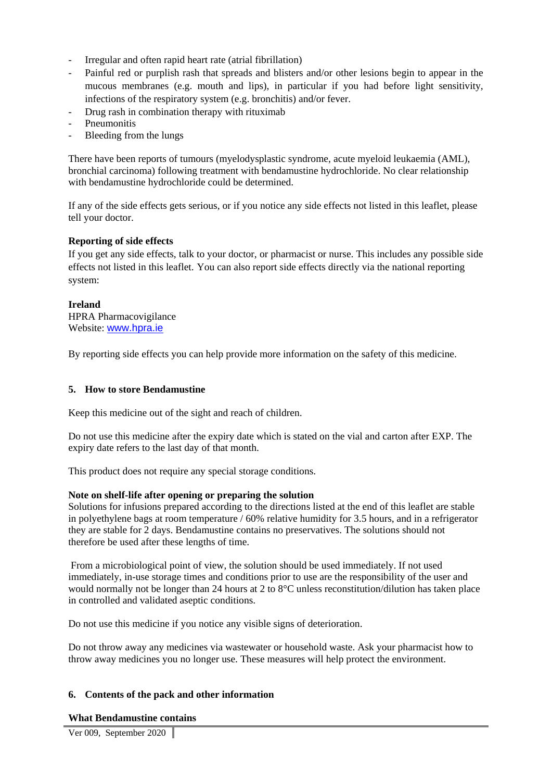- Irregular and often rapid heart rate (atrial fibrillation)
- Painful red or purplish rash that spreads and blisters and/or other lesions begin to appear in the mucous membranes (e.g. mouth and lips), in particular if you had before light sensitivity, infections of the respiratory system (e.g. bronchitis) and/or fever.
- Drug rash in combination therapy with rituximab
- **Pneumonitis**
- Bleeding from the lungs

There have been reports of tumours (myelodysplastic syndrome, acute myeloid leukaemia (AML), bronchial carcinoma) following treatment with bendamustine hydrochloride. No clear relationship with bendamustine hydrochloride could be determined.

If any of the side effects gets serious, or if you notice any side effects not listed in this leaflet, please tell your doctor.

# **Reporting of side effects**

If you get any side effects, talk to your doctor, or pharmacist or nurse. This includes any possible side effects not listed in this leaflet. You can also report side effects directly via the national reporting system:

#### **Ireland** HPRA Pharmacovigilance Website: [www.hpra.ie](http://www.hpra.ie/)

By reporting side effects you can help provide more information on the safety of this medicine.

# **5. How to store Bendamustine**

Keep this medicine out of the sight and reach of children.

Do not use this medicine after the expiry date which is stated on the vial and carton after EXP. The expiry date refers to the last day of that month.

This product does not require any special storage conditions.

# **Note on shelf-life after opening or preparing the solution**

Solutions for infusions prepared according to the directions listed at the end of this leaflet are stable in polyethylene bags at room temperature / 60% relative humidity for 3.5 hours, and in a refrigerator they are stable for 2 days. Bendamustine contains no preservatives. The solutions should not therefore be used after these lengths of time.

From a microbiological point of view, the solution should be used immediately. If not used immediately, in-use storage times and conditions prior to use are the responsibility of the user and would normally not be longer than 24 hours at 2 to 8°C unless reconstitution/dilution has taken place in controlled and validated aseptic conditions.

Do not use this medicine if you notice any visible signs of deterioration.

Do not throw away any medicines via wastewater or household waste. Ask your pharmacist how to throw away medicines you no longer use. These measures will help protect the environment.

# **6. Contents of the pack and other information**

# **What Bendamustine contains**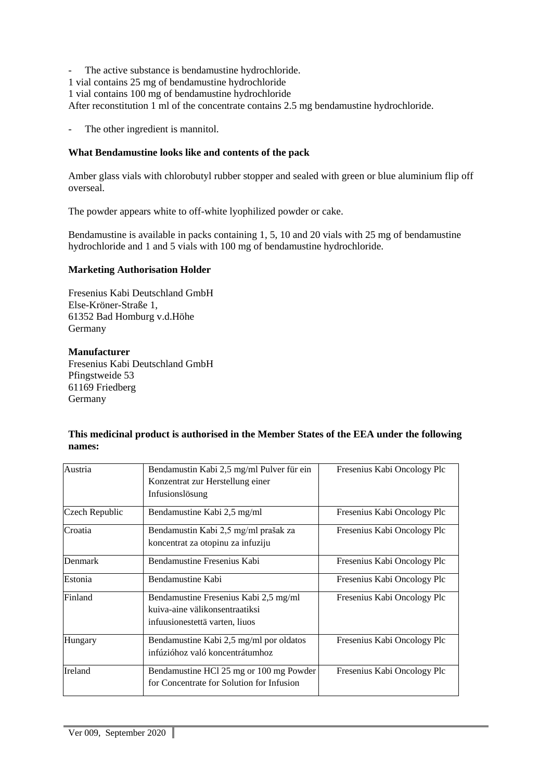- The active substance is bendamustine hydrochloride.

1 vial contains 25 mg of bendamustine hydrochloride

1 vial contains 100 mg of bendamustine hydrochloride

After reconstitution 1 ml of the concentrate contains 2.5 mg bendamustine hydrochloride.

- The other ingredient is mannitol.

# **What Bendamustine looks like and contents of the pack**

Amber glass vials with chlorobutyl rubber stopper and sealed with green or blue aluminium flip off overseal.

The powder appears white to off-white lyophilized powder or cake.

Bendamustine is available in packs containing 1, 5, 10 and 20 vials with 25 mg of bendamustine hydrochloride and 1 and 5 vials with 100 mg of bendamustine hydrochloride.

# **Marketing Authorisation Holder**

Fresenius Kabi Deutschland GmbH Else-Kröner-Straße 1, 61352 Bad Homburg v.d.Höhe Germany

# **Manufacturer**

Fresenius Kabi Deutschland GmbH Pfingstweide 53 61169 Friedberg Germany

# **This medicinal product is authorised in the Member States of the EEA under the following names:**

| Austria        | Bendamustin Kabi 2,5 mg/ml Pulver für ein<br>Konzentrat zur Herstellung einer                             | Fresenius Kabi Oncology Plc |
|----------------|-----------------------------------------------------------------------------------------------------------|-----------------------------|
|                | Infusionslösung                                                                                           |                             |
| Czech Republic | Bendamustine Kabi 2,5 mg/ml                                                                               | Fresenius Kabi Oncology Plc |
| Croatia        | Bendamustin Kabi 2,5 mg/ml prašak za<br>koncentrat za otopinu za infuziju                                 | Fresenius Kabi Oncology Plc |
| Denmark        | Bendamustine Fresenius Kabi                                                                               | Fresenius Kabi Oncology Plc |
| Estonia        | Bendamustine Kabi                                                                                         | Fresenius Kabi Oncology Plc |
| Finland        | Bendamustine Fresenius Kabi 2,5 mg/ml<br>kuiva-aine välikonsentraatiksi<br>infuusionestettä varten, liuos | Fresenius Kabi Oncology Plc |
| Hungary        | Bendamustine Kabi 2,5 mg/ml por oldatos<br>infúzióhoz való koncentrátumhoz                                | Fresenius Kabi Oncology Plc |
| Ireland        | Bendamustine HCl 25 mg or 100 mg Powder<br>for Concentrate for Solution for Infusion                      | Fresenius Kabi Oncology Plc |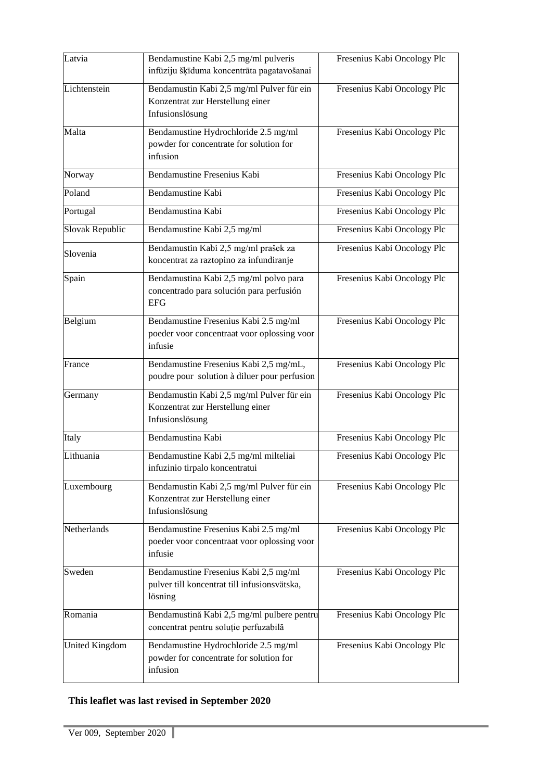| Latvia          | Bendamustine Kabi 2,5 mg/ml pulveris<br>infūziju šķīduma koncentrāta pagatavošanai               | Fresenius Kabi Oncology Plc |
|-----------------|--------------------------------------------------------------------------------------------------|-----------------------------|
| Lichtenstein    | Bendamustin Kabi 2,5 mg/ml Pulver für ein<br>Konzentrat zur Herstellung einer<br>Infusionslösung | Fresenius Kabi Oncology Plc |
| Malta           | Bendamustine Hydrochloride 2.5 mg/ml<br>powder for concentrate for solution for<br>infusion      | Fresenius Kabi Oncology Plc |
| Norway          | Bendamustine Fresenius Kabi                                                                      | Fresenius Kabi Oncology Plc |
| Poland          | Bendamustine Kabi                                                                                | Fresenius Kabi Oncology Plc |
| Portugal        | Bendamustina Kabi                                                                                | Fresenius Kabi Oncology Plc |
| Slovak Republic | Bendamustine Kabi 2,5 mg/ml                                                                      | Fresenius Kabi Oncology Plc |
| Slovenia        | Bendamustin Kabi 2,5 mg/ml prašek za<br>koncentrat za raztopino za infundiranje                  | Fresenius Kabi Oncology Plc |
| Spain           | Bendamustina Kabi 2,5 mg/ml polvo para<br>concentrado para solución para perfusión<br><b>EFG</b> | Fresenius Kabi Oncology Plc |
| Belgium         | Bendamustine Fresenius Kabi 2.5 mg/ml<br>poeder voor concentraat voor oplossing voor<br>infusie  | Fresenius Kabi Oncology Plc |
| France          | Bendamustine Fresenius Kabi 2,5 mg/mL,<br>poudre pour solution à diluer pour perfusion           | Fresenius Kabi Oncology Plc |
| Germany         | Bendamustin Kabi 2,5 mg/ml Pulver für ein<br>Konzentrat zur Herstellung einer<br>Infusionslösung | Fresenius Kabi Oncology Plc |
| Italy           | Bendamustina Kabi                                                                                | Fresenius Kabi Oncology Plc |
| Lithuania       | Bendamustine Kabi 2,5 mg/ml milteliai<br>infuzinio tirpalo koncentratui                          | Fresenius Kabi Oncology Plc |
| Luxembourg      | Bendamustin Kabi 2,5 mg/ml Pulver für ein<br>Konzentrat zur Herstellung einer<br>Infusionslösung | Fresenius Kabi Oncology Plc |
| Netherlands     | Bendamustine Fresenius Kabi 2.5 mg/ml<br>poeder voor concentraat voor oplossing voor<br>infusie  | Fresenius Kabi Oncology Plc |
| Sweden          | Bendamustine Fresenius Kabi 2,5 mg/ml<br>pulver till koncentrat till infusionsvätska,<br>lösning | Fresenius Kabi Oncology Plc |
| Romania         | Bendamustină Kabi 2,5 mg/ml pulbere pentru<br>concentrat pentru soluție perfuzabilă              | Fresenius Kabi Oncology Plc |
| United Kingdom  | Bendamustine Hydrochloride 2.5 mg/ml<br>powder for concentrate for solution for<br>infusion      | Fresenius Kabi Oncology Plc |

# **This leaflet was last revised in September 2020**